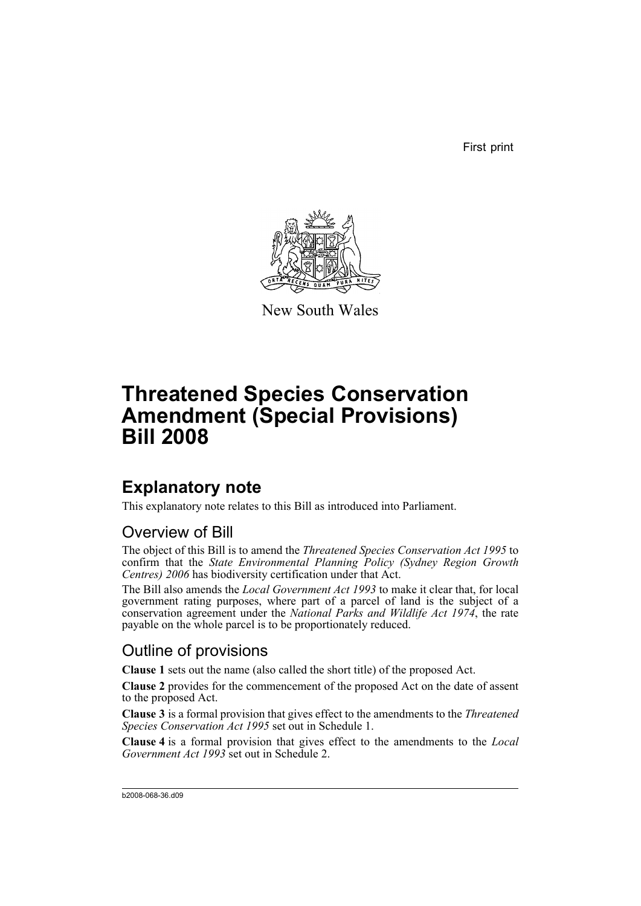First print



New South Wales

# **Threatened Species Conservation Amendment (Special Provisions) Bill 2008**

# **Explanatory note**

This explanatory note relates to this Bill as introduced into Parliament.

## Overview of Bill

The object of this Bill is to amend the *Threatened Species Conservation Act 1995* to confirm that the *State Environmental Planning Policy (Sydney Region Growth Centres) 2006* has biodiversity certification under that Act.

The Bill also amends the *Local Government Act 1993* to make it clear that, for local government rating purposes, where part of a parcel of land is the subject of a conservation agreement under the *National Parks and Wildlife Act 1974*, the rate payable on the whole parcel is to be proportionately reduced.

## Outline of provisions

**Clause 1** sets out the name (also called the short title) of the proposed Act.

**Clause 2** provides for the commencement of the proposed Act on the date of assent to the proposed Act.

**Clause 3** is a formal provision that gives effect to the amendments to the *Threatened Species Conservation Act 1995* set out in Schedule 1.

**Clause 4** is a formal provision that gives effect to the amendments to the *Local Government Act 1993* set out in Schedule 2.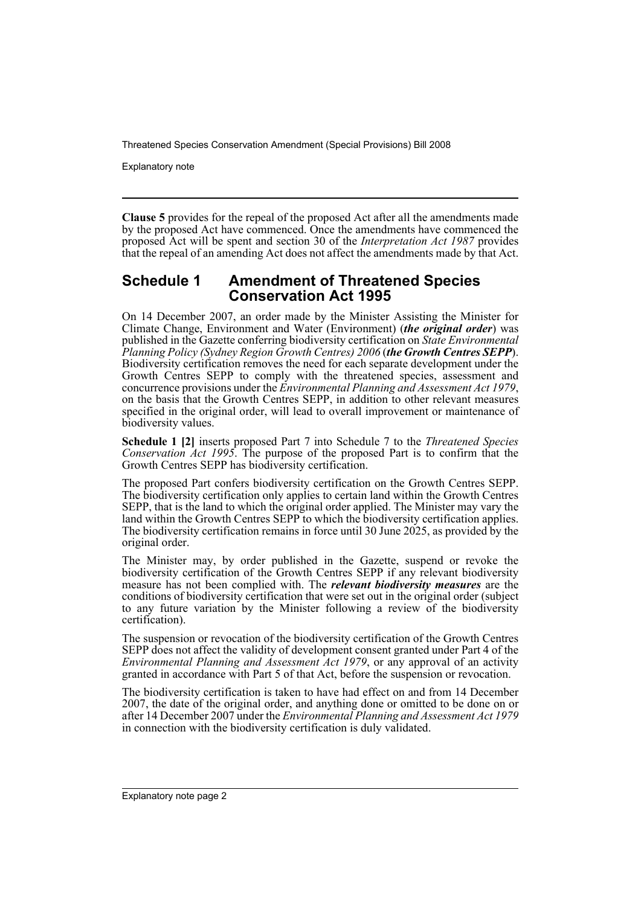Explanatory note

**Clause 5** provides for the repeal of the proposed Act after all the amendments made by the proposed Act have commenced. Once the amendments have commenced the proposed Act will be spent and section 30 of the *Interpretation Act 1987* provides that the repeal of an amending Act does not affect the amendments made by that Act.

### **Schedule 1 Amendment of Threatened Species Conservation Act 1995**

On 14 December 2007, an order made by the Minister Assisting the Minister for Climate Change, Environment and Water (Environment) (*the original order*) was published in the Gazette conferring biodiversity certification on *State Environmental Planning Policy (Sydney Region Growth Centres) 2006* (*the Growth Centres SEPP*). Biodiversity certification removes the need for each separate development under the Growth Centres SEPP to comply with the threatened species, assessment and concurrence provisions under the *Environmental Planning and Assessment Act 1979*, on the basis that the Growth Centres SEPP, in addition to other relevant measures specified in the original order, will lead to overall improvement or maintenance of biodiversity values.

**Schedule 1 [2]** inserts proposed Part 7 into Schedule 7 to the *Threatened Species Conservation Act 1995*. The purpose of the proposed Part is to confirm that the Growth Centres SEPP has biodiversity certification.

The proposed Part confers biodiversity certification on the Growth Centres SEPP. The biodiversity certification only applies to certain land within the Growth Centres SEPP, that is the land to which the original order applied. The Minister may vary the land within the Growth Centres SEPP to which the biodiversity certification applies. The biodiversity certification remains in force until 30 June 2025, as provided by the original order.

The Minister may, by order published in the Gazette, suspend or revoke the biodiversity certification of the Growth Centres SEPP if any relevant biodiversity measure has not been complied with. The *relevant biodiversity measures* are the conditions of biodiversity certification that were set out in the original order (subject to any future variation by the Minister following a review of the biodiversity certification).

The suspension or revocation of the biodiversity certification of the Growth Centres SEPP does not affect the validity of development consent granted under Part 4 of the *Environmental Planning and Assessment Act 1979*, or any approval of an activity granted in accordance with Part 5 of that Act, before the suspension or revocation.

The biodiversity certification is taken to have had effect on and from 14 December 2007, the date of the original order, and anything done or omitted to be done on or after 14 December 2007 under the *Environmental Planning and Assessment Act 1979* in connection with the biodiversity certification is duly validated.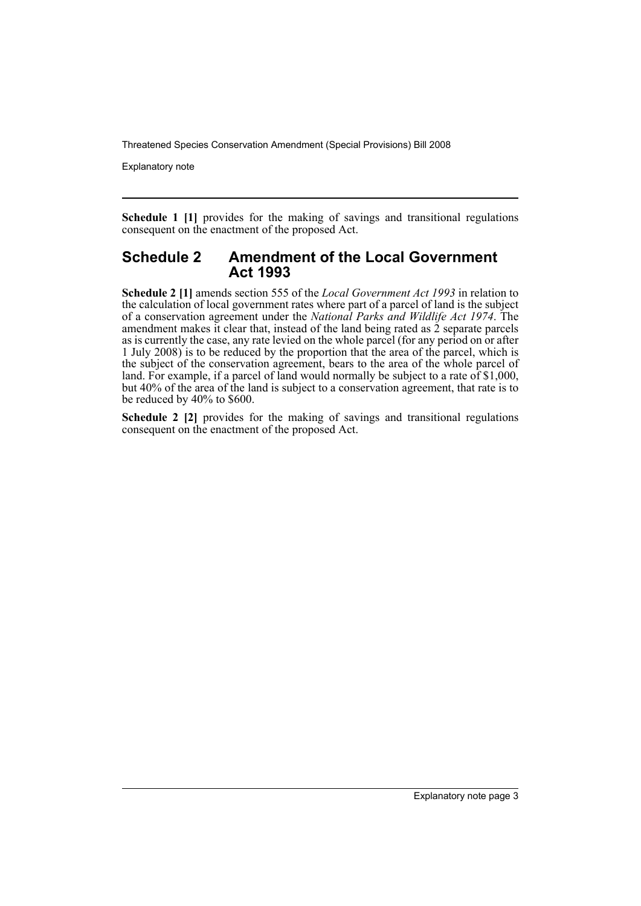Explanatory note

**Schedule 1 [1]** provides for the making of savings and transitional regulations consequent on the enactment of the proposed Act.

#### **Schedule 2 Amendment of the Local Government Act 1993**

**Schedule 2 [1]** amends section 555 of the *Local Government Act 1993* in relation to the calculation of local government rates where part of a parcel of land is the subject of a conservation agreement under the *National Parks and Wildlife Act 1974*. The amendment makes it clear that, instead of the land being rated as  $\tilde{2}$  separate parcels as is currently the case, any rate levied on the whole parcel (for any period on or after 1 July 2008) is to be reduced by the proportion that the area of the parcel, which is the subject of the conservation agreement, bears to the area of the whole parcel of land. For example, if a parcel of land would normally be subject to a rate of \$1,000, but 40% of the area of the land is subject to a conservation agreement, that rate is to be reduced by 40% to \$600.

**Schedule 2 [2]** provides for the making of savings and transitional regulations consequent on the enactment of the proposed Act.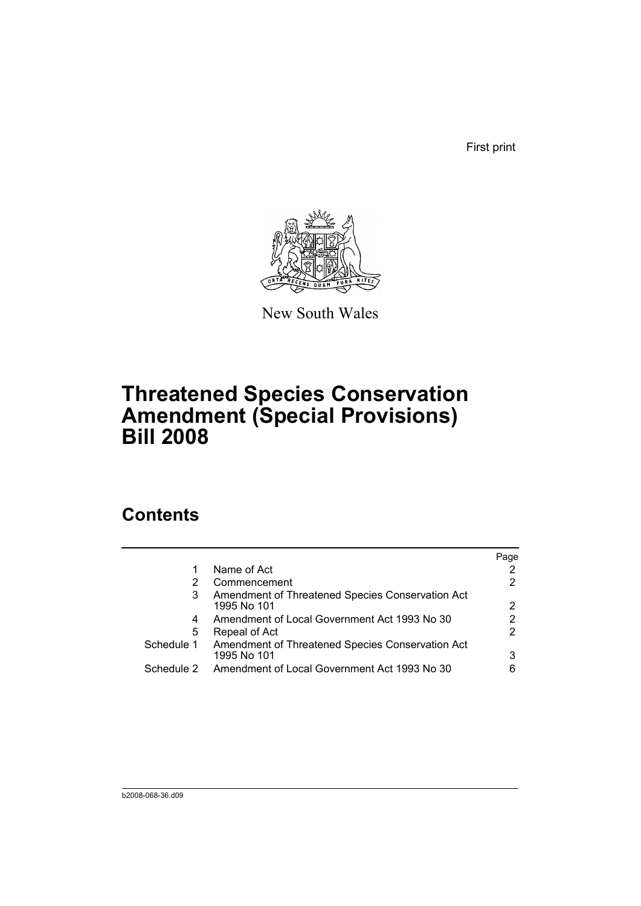First print



New South Wales

# **Threatened Species Conservation Amendment (Special Provisions) Bill 2008**

## **Contents**

|            |                                                                 | Page |
|------------|-----------------------------------------------------------------|------|
|            | Name of Act                                                     |      |
| 2          | Commencement                                                    |      |
| 3          | Amendment of Threatened Species Conservation Act<br>1995 No 101 | 2    |
| 4          | Amendment of Local Government Act 1993 No 30                    |      |
| 5          | Repeal of Act                                                   |      |
| Schedule 1 | Amendment of Threatened Species Conservation Act<br>1995 No 101 | 3    |
| Schedule 2 | Amendment of Local Government Act 1993 No 30                    | 6    |
|            |                                                                 |      |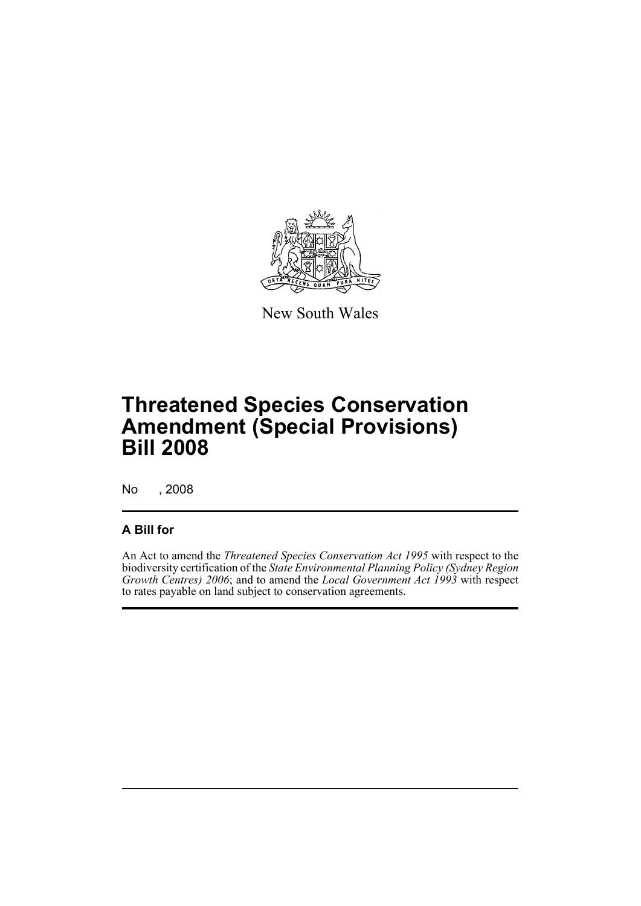

New South Wales

# **Threatened Species Conservation Amendment (Special Provisions) Bill 2008**

No , 2008

## **A Bill for**

An Act to amend the *Threatened Species Conservation Act 1995* with respect to the biodiversity certification of the *State Environmental Planning Policy (Sydney Region Growth Centres) 2006*; and to amend the *Local Government Act 1993* with respect to rates payable on land subject to conservation agreements.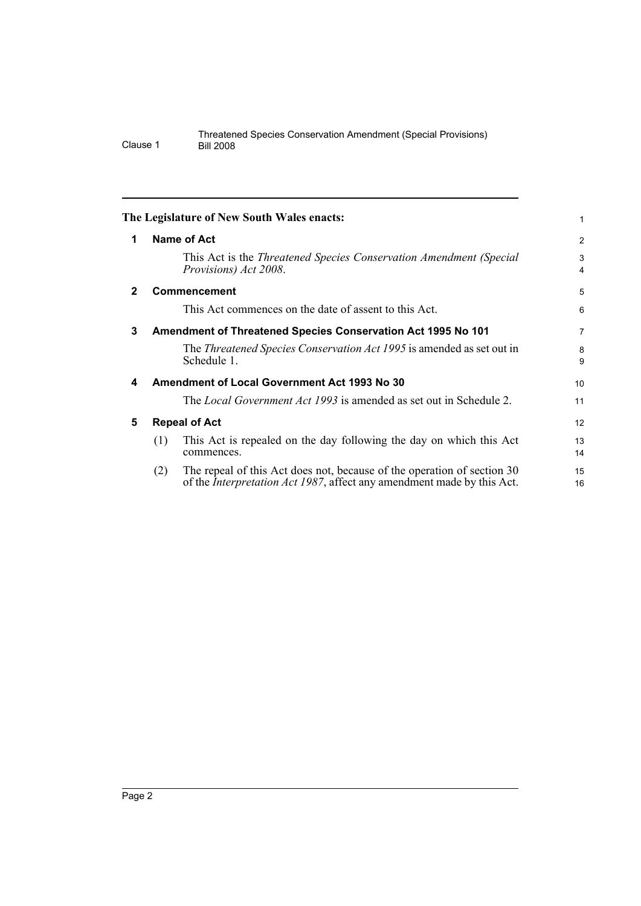<span id="page-7-4"></span><span id="page-7-3"></span><span id="page-7-2"></span><span id="page-7-1"></span><span id="page-7-0"></span>

|              |                                                     | The Legislature of New South Wales enacts:                                                                                                                | 1              |
|--------------|-----------------------------------------------------|-----------------------------------------------------------------------------------------------------------------------------------------------------------|----------------|
| 1            |                                                     | Name of Act                                                                                                                                               | $\overline{c}$ |
|              |                                                     | This Act is the Threatened Species Conservation Amendment (Special<br>Provisions) Act 2008.                                                               | 3<br>4         |
| $\mathbf{2}$ |                                                     | Commencement                                                                                                                                              | 5              |
|              |                                                     | This Act commences on the date of assent to this Act.                                                                                                     | 6              |
| 3            |                                                     | Amendment of Threatened Species Conservation Act 1995 No 101                                                                                              | 7              |
|              |                                                     | The Threatened Species Conservation Act 1995 is amended as set out in<br>Schedule 1.                                                                      | 8<br>9         |
| 4            | <b>Amendment of Local Government Act 1993 No 30</b> |                                                                                                                                                           | 10             |
|              |                                                     | The <i>Local Government Act 1993</i> is amended as set out in Schedule 2.                                                                                 | 11             |
| 5            | <b>Repeal of Act</b>                                |                                                                                                                                                           | 12             |
|              | (1)                                                 | This Act is repealed on the day following the day on which this Act<br>commences.                                                                         | 13<br>14       |
|              | (2)                                                 | The repeal of this Act does not, because of the operation of section 30<br>of the <i>Interpretation Act 1987</i> , affect any amendment made by this Act. | 15<br>16       |
|              |                                                     |                                                                                                                                                           |                |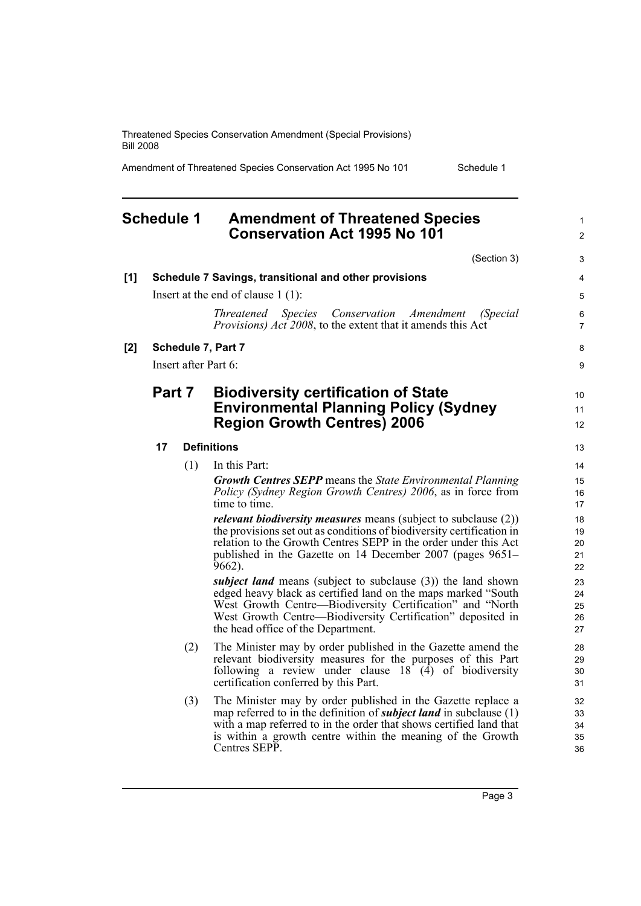Amendment of Threatened Species Conservation Act 1995 No 101 Schedule 1

1

## <span id="page-8-0"></span>**Schedule 1 Amendment of Threatened Species Conservation Act 1995 No 101**

(Section 3) **[1] Schedule 7 Savings, transitional and other provisions** Insert at the end of clause 1 (1): *Threatened Species Conservation Amendment (Special Provisions) Act 2008*, to the extent that it amends this Act **[2] Schedule 7, Part 7** Insert after Part 6: **Part 7 Biodiversity certification of State Environmental Planning Policy (Sydney Region Growth Centres) 2006 17 Definitions** (1) In this Part: *Growth Centres SEPP* means the *State Environmental Planning Policy (Sydney Region Growth Centres) 2006*, as in force from time to time. *relevant biodiversity measures* means (subject to subclause (2)) the provisions set out as conditions of biodiversity certification in relation to the Growth Centres SEPP in the order under this Act published in the Gazette on 14 December 2007 (pages 9651– 9662). *subject land* means (subject to subclause (3)) the land shown edged heavy black as certified land on the maps marked "South West Growth Centre—Biodiversity Certification" and "North West Growth Centre—Biodiversity Certification" deposited in the head office of the Department. (2) The Minister may by order published in the Gazette amend the relevant biodiversity measures for the purposes of this Part following a review under clause  $18 \hat{ }$  (4) of biodiversity certification conferred by this Part. (3) The Minister may by order published in the Gazette replace a map referred to in the definition of *subject land* in subclause (1)  $\mathfrak{p}$ 3 4 5 6 7 8  $\overline{Q}$ 10 11 12 13 14 15 16 17 18 19 20 21 22  $2<sup>2</sup>$ 24 25 26 27 28 29 30 31 32 33

with a map referred to in the order that shows certified land that is within a growth centre within the meaning of the Growth Centres SEPP.

Page 3

34 35 36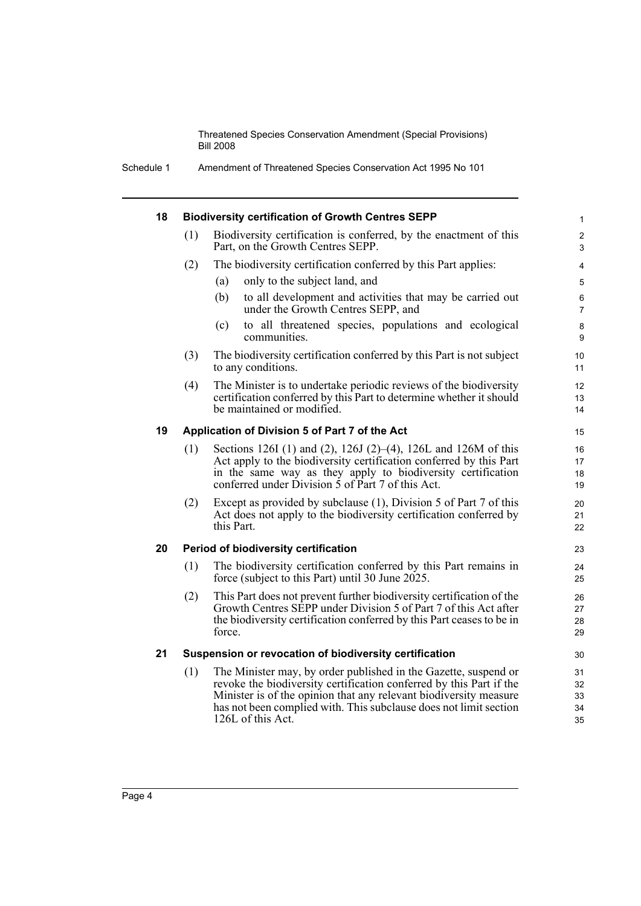Schedule 1 Amendment of Threatened Species Conservation Act 1995 No 101

#### **18 Biodiversity certification of Growth Centres SEPP**

| 18 |                                                        | <b>Biodiversity certification of Growth Centres SEPP</b>                                                                                                                                                                                                                                              | $\mathbf{1}$               |
|----|--------------------------------------------------------|-------------------------------------------------------------------------------------------------------------------------------------------------------------------------------------------------------------------------------------------------------------------------------------------------------|----------------------------|
|    | (1)                                                    | Biodiversity certification is conferred, by the enactment of this<br>Part, on the Growth Centres SEPP.                                                                                                                                                                                                | $\overline{c}$<br>3        |
|    | (2)                                                    | The biodiversity certification conferred by this Part applies:                                                                                                                                                                                                                                        | 4                          |
|    |                                                        | only to the subject land, and<br>(a)                                                                                                                                                                                                                                                                  | 5                          |
|    |                                                        | (b)<br>to all development and activities that may be carried out<br>under the Growth Centres SEPP, and                                                                                                                                                                                                | $\,6$<br>$\overline{7}$    |
|    |                                                        | to all threatened species, populations and ecological<br>(c)<br>communities.                                                                                                                                                                                                                          | 8<br>9                     |
|    | (3)                                                    | The biodiversity certification conferred by this Part is not subject<br>to any conditions.                                                                                                                                                                                                            | 10<br>11                   |
|    | (4)                                                    | The Minister is to undertake periodic reviews of the biodiversity<br>certification conferred by this Part to determine whether it should<br>be maintained or modified.                                                                                                                                | 12<br>13<br>14             |
| 19 | Application of Division 5 of Part 7 of the Act         |                                                                                                                                                                                                                                                                                                       |                            |
|    | (1)                                                    | Sections 126I (1) and (2), 126J (2)–(4), 126L and 126M of this<br>Act apply to the biodiversity certification conferred by this Part<br>in the same way as they apply to biodiversity certification<br>conferred under Division $\dot{5}$ of Part 7 of this Act.                                      | 16<br>17<br>18<br>19       |
|    | (2)                                                    | Except as provided by subclause (1), Division 5 of Part 7 of this<br>Act does not apply to the biodiversity certification conferred by<br>this Part.                                                                                                                                                  | 20<br>21<br>22             |
| 20 |                                                        | Period of biodiversity certification                                                                                                                                                                                                                                                                  | 23                         |
|    | (1)                                                    | The biodiversity certification conferred by this Part remains in<br>force (subject to this Part) until 30 June 2025.                                                                                                                                                                                  | 24<br>25                   |
|    | (2)                                                    | This Part does not prevent further biodiversity certification of the<br>Growth Centres SEPP under Division 5 of Part 7 of this Act after<br>the biodiversity certification conferred by this Part ceases to be in<br>force.                                                                           | 26<br>27<br>28<br>29       |
| 21 | Suspension or revocation of biodiversity certification |                                                                                                                                                                                                                                                                                                       |                            |
|    | (1)                                                    | The Minister may, by order published in the Gazette, suspend or<br>revoke the biodiversity certification conferred by this Part if the<br>Minister is of the opinion that any relevant biodiversity measure<br>has not been complied with. This subclause does not limit section<br>126L of this Act. | 31<br>32<br>33<br>34<br>35 |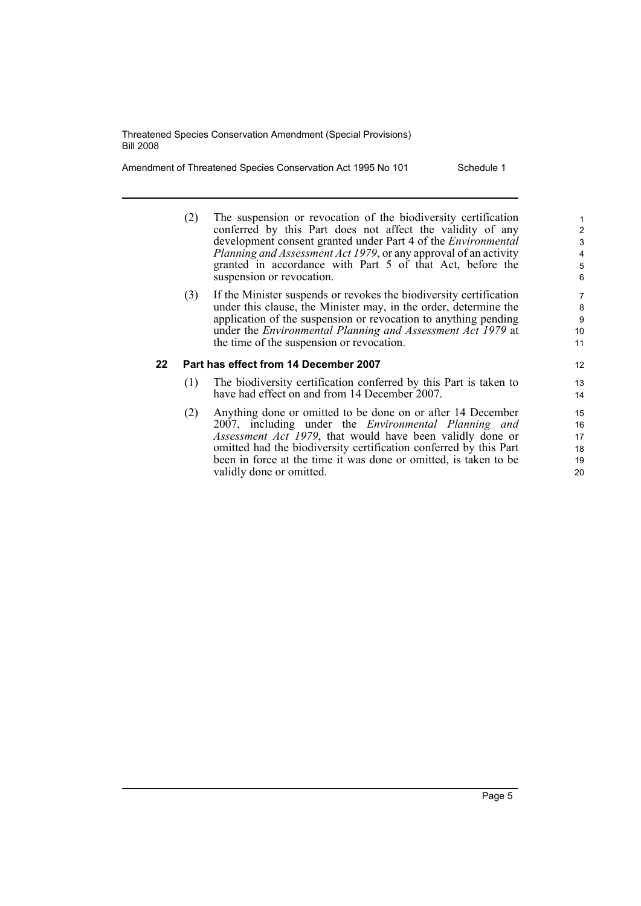Amendment of Threatened Species Conservation Act 1995 No 101 Schedule 1

- (2) The suspension or revocation of the biodiversity certification conferred by this Part does not affect the validity of any development consent granted under Part 4 of the *Environmental Planning and Assessment Act 1979*, or any approval of an activity granted in accordance with Part 5 of that Act, before the suspension or revocation.
- (3) If the Minister suspends or revokes the biodiversity certification under this clause, the Minister may, in the order, determine the application of the suspension or revocation to anything pending under the *Environmental Planning and Assessment Act 1979* at the time of the suspension or revocation.

#### **22 Part has effect from 14 December 2007**

- (1) The biodiversity certification conferred by this Part is taken to have had effect on and from 14 December 2007.
- (2) Anything done or omitted to be done on or after 14 December 2007, including under the *Environmental Planning and Assessment Act 1979*, that would have been validly done or omitted had the biodiversity certification conferred by this Part been in force at the time it was done or omitted, is taken to be validly done or omitted.